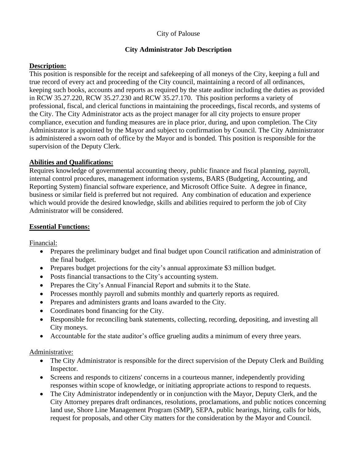### City of Palouse

## **City Administrator Job Description**

### **Description:**

This position is responsible for the receipt and safekeeping of all moneys of the City, keeping a full and true record of every act and proceeding of the City council, maintaining a record of all ordinances, keeping such books, accounts and reports as required by the state auditor including the duties as provided in RCW 35.27.220, RCW 35.27.230 and RCW 35.27.170. This position performs a variety of professional, fiscal, and clerical functions in maintaining the proceedings, fiscal records, and systems of the City. The City Administrator acts as the project manager for all city projects to ensure proper compliance, execution and funding measures are in place prior, during, and upon completion. The City Administrator is appointed by the Mayor and subject to confirmation by Council. The City Administrator is administered a sworn oath of office by the Mayor and is bonded. This position is responsible for the supervision of the Deputy Clerk.

## **Abilities and Qualifications:**

Requires knowledge of governmental accounting theory, public finance and fiscal planning, payroll, internal control procedures, management information systems, BARS (Budgeting, Accounting, and Reporting System) financial software experience, and Microsoft Office Suite. A degree in finance, business or similar field is preferred but not required. Any combination of education and experience which would provide the desired knowledge, skills and abilities required to perform the job of City Administrator will be considered.

### **Essential Functions:**

Financial:

- Prepares the preliminary budget and final budget upon Council ratification and administration of the final budget.
- Prepares budget projections for the city's annual approximate \$3 million budget.
- Posts financial transactions to the City's accounting system.
- Prepares the City's Annual Financial Report and submits it to the State.
- Processes monthly payroll and submits monthly and quarterly reports as required.
- Prepares and administers grants and loans awarded to the City.
- Coordinates bond financing for the City.
- Responsible for reconciling bank statements, collecting, recording, depositing, and investing all City moneys.
- Accountable for the state auditor's office grueling audits a minimum of every three years.

### Administrative:

- The City Administrator is responsible for the direct supervision of the Deputy Clerk and Building Inspector.
- Screens and responds to citizens' concerns in a courteous manner, independently providing responses within scope of knowledge, or initiating appropriate actions to respond to requests.
- The City Administrator independently or in conjunction with the Mayor, Deputy Clerk, and the City Attorney prepares draft ordinances, resolutions, proclamations, and public notices concerning land use, Shore Line Management Program (SMP), SEPA, public hearings, hiring, calls for bids, request for proposals, and other City matters for the consideration by the Mayor and Council.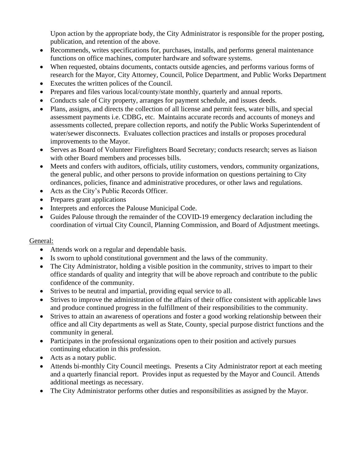Upon action by the appropriate body, the City Administrator is responsible for the proper posting, publication, and retention of the above.

- Recommends, writes specifications for, purchases, installs, and performs general maintenance functions on office machines, computer hardware and software systems.
- When requested, obtains documents, contacts outside agencies, and performs various forms of research for the Mayor, City Attorney, Council, Police Department, and Public Works Department
- Executes the written polices of the Council.
- Prepares and files various local/county/state monthly, quarterly and annual reports.
- Conducts sale of City property, arranges for payment schedule, and issues deeds.
- Plans, assigns, and directs the collection of all license and permit fees, water bills, and special assessment payments i.e. CDBG, etc. Maintains accurate records and accounts of moneys and assessments collected, prepare collection reports, and notify the Public Works Superintendent of water/sewer disconnects. Evaluates collection practices and installs or proposes procedural improvements to the Mayor.
- Serves as Board of Volunteer Firefighters Board Secretary; conducts research; serves as liaison with other Board members and processes bills.
- Meets and confers with auditors, officials, utility customers, vendors, community organizations, the general public, and other persons to provide information on questions pertaining to City ordinances, policies, finance and administrative procedures, or other laws and regulations.
- Acts as the City's Public Records Officer.
- Prepares grant applications
- Interprets and enforces the Palouse Municipal Code.
- Guides Palouse through the remainder of the COVID-19 emergency declaration including the coordination of virtual City Council, Planning Commission, and Board of Adjustment meetings.

# General:

- Attends work on a regular and dependable basis.
- Is sworn to uphold constitutional government and the laws of the community.
- The City Administrator, holding a visible position in the community, strives to impart to their office standards of quality and integrity that will be above reproach and contribute to the public confidence of the community.
- Strives to be neutral and impartial, providing equal service to all.
- Strives to improve the administration of the affairs of their office consistent with applicable laws and produce continued progress in the fulfillment of their responsibilities to the community.
- Strives to attain an awareness of operations and foster a good working relationship between their office and all City departments as well as State, County, special purpose district functions and the community in general.
- Participates in the professional organizations open to their position and actively pursues continuing education in this profession.
- Acts as a notary public.
- Attends bi-monthly City Council meetings. Presents a City Administrator report at each meeting and a quarterly financial report. Provides input as requested by the Mayor and Council. Attends additional meetings as necessary.
- The City Administrator performs other duties and responsibilities as assigned by the Mayor.